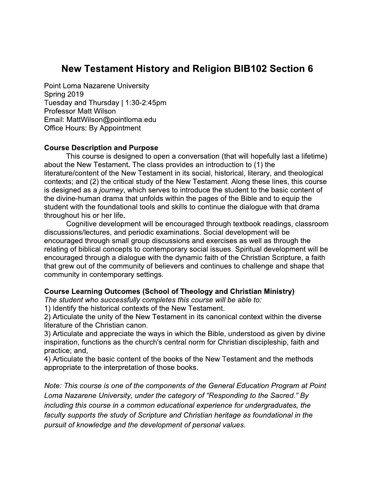# **New Testament History and Religion BIB102 Section 6**

**Point Loma Nazarene University** Spring 2019 Tuesday and Thursday | 1:30-2:45pm **Professor Matt Wilson** Email: MattWilson@pointloma.edu **Office Hours: By Appointment** 

#### **Course Description and Purpose**

This course is designed to open a conversation (that will hopefully last a lifetime) about the New Testament. The class provides an introduction to (1) the literature/content of the New Testament in its social, historical, literary, and theological contexts; and (2) the critical study of the New Testament. Along these lines, this course is designed as a journey, which serves to introduce the student to the basic content of the divine-human drama that unfolds within the pages of the Bible and to equip the student with the foundational tools and skills to continue the dialogue with that drama throughout his or her life.

Cognitive development will be encouraged through textbook readings, classroom discussions/lectures, and periodic examinations. Social development will be encouraged through small group discussions and exercises as well as through the relating of biblical concepts to contemporary social issues. Spiritual development will be encouraged through a dialogue with the dynamic faith of the Christian Scripture, a faith that grew out of the community of believers and continues to challenge and shape that community in contemporary settings.

#### Course Learning Outcomes (School of Theology and Christian Ministry)

The student who successfully completes this course will be able to:

1) Identify the historical contexts of the New Testament.

2) Articulate the unity of the New Testament in its canonical context within the diverse literature of the Christian canon.

3) Articulate and appreciate the ways in which the Bible, understood as given by divine inspiration, functions as the church's central norm for Christian discipleship, faith and practice; and,

4) Articulate the basic content of the books of the New Testament and the methods appropriate to the interpretation of those books.

Note: This course is one of the components of the General Education Program at Point Loma Nazarene University, under the category of "Responding to the Sacred." By including this course in a common educational experience for undergraduates, the faculty supports the study of Scripture and Christian heritage as foundational in the pursuit of knowledge and the development of personal values.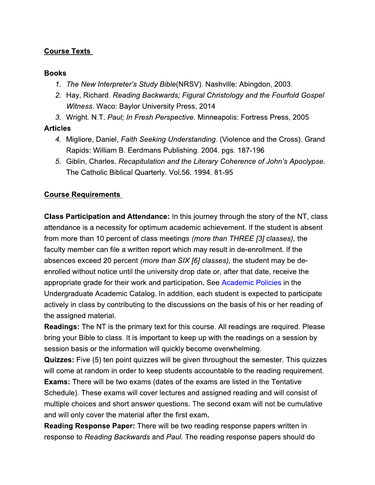# **Course Texts**

## **Books**

- 1. The New Interpreter's Study Bible(NRSV). Nashville: Abingdon, 2003.
- 2. Hay, Richard. Reading Backwards; Figural Christology and the Fourfold Gospel Witness. Waco: Baylor University Press, 2014
- 3. Wright. N.T. Paul; In Fresh Perspective. Minneapolis: Fortress Press, 2005

# **Articles**

- 4. Migliore, Daniel, Faith Seeking Understanding. (Violence and the Cross). Grand Rapids: William B. Eerdmans Publishing. 2004. pgs. 187-196
- 5. Giblin, Charles. Recapitulation and the Literary Coherence of John's Apoclypse. The Catholic Biblical Quarterly. Vol.56. 1994. 81-95

# **Course Requirements**

**Class Participation and Attendance:** In this journey through the story of the NT, class attendance is a necessity for optimum academic achievement. If the student is absent from more than 10 percent of class meetings *(more than THREE [3] classes)*, the faculty member can file a written report which may result in de-enrollment. If the absences exceed 20 percent (more than SIX [6] classes), the student may be deenrolled without notice until the university drop date or, after that date, receive the appropriate grade for their work and participation. See Academic Policies in the Undergraduate Academic Catalog. In addition, each student is expected to participate actively in class by contributing to the discussions on the basis of his or her reading of the assigned material.

**Readings:** The NT is the primary text for this course. All readings are required. Please bring your Bible to class. It is important to keep up with the readings on a session by session basis or the information will quickly become overwhelming.

**Quizzes:** Five (5) ten point quizzes will be given throughout the semester. This quizzes will come at random in order to keep students accountable to the reading requirement.

**Exams:** There will be two exams (dates of the exams are listed in the Tentative Schedule). These exams will cover lectures and assigned reading and will consist of multiple choices and short answer questions. The second exam will not be cumulative and will only cover the material after the first exam.

**Reading Response Paper:** There will be two reading response papers written in response to Reading Backwards and Paul. The reading response papers should do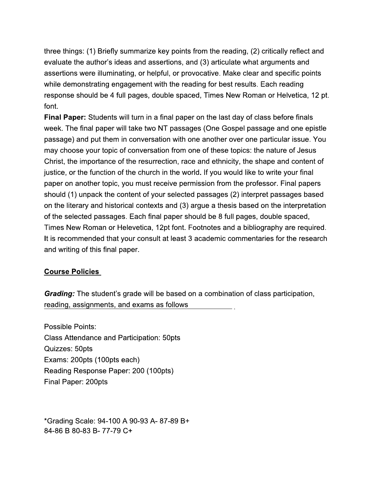three things: (1) Briefly summarize key points from the reading, (2) critically reflect and evaluate the author's ideas and assertions, and (3) articulate what arguments and assertions were illuminating, or helpful, or provocative. Make clear and specific points while demonstrating engagement with the reading for best results. Each reading response should be 4 full pages, double spaced, Times New Roman or Helvetica, 12 pt. font.

**Final Paper:** Students will turn in a final paper on the last day of class before finals week. The final paper will take two NT passages (One Gospel passage and one epistle passage) and put them in conversation with one another over one particular issue. You may choose your topic of conversation from one of these topics: the nature of Jesus Christ, the importance of the resurrection, race and ethnicity, the shape and content of justice, or the function of the church in the world. If you would like to write your final paper on another topic, you must receive permission from the professor. Final papers should (1) unpack the content of your selected passages (2) interpret passages based on the literary and historical contexts and (3) argue a thesis based on the interpretation of the selected passages. Each final paper should be 8 full pages, double spaced, Times New Roman or Helevetica, 12pt font. Footnotes and a bibliography are required. It is recommended that your consult at least 3 academic commentaries for the research and writing of this final paper.

# **Course Policies**

**Grading:** The student's grade will be based on a combination of class participation, reading, assignments, and exams as follows

**Possible Points: Class Attendance and Participation: 50pts** Quizzes: 50pts Exams: 200pts (100pts each) Reading Response Paper: 200 (100pts) Final Paper: 200pts

\*Grading Scale: 94-100 A 90-93 A- 87-89 B+ 84-86 B 80-83 B-77-79 C+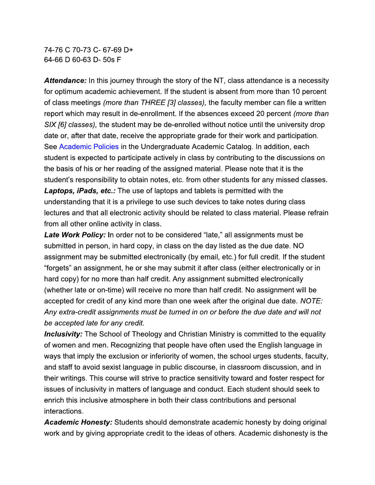74-76 C 70-73 C- 67-69 D+ 64-66 D 60-63 D-50s F

Attendance: In this journey through the story of the NT, class attendance is a necessity for optimum academic achievement. If the student is absent from more than 10 percent of class meetings (more than THREE [3] classes), the faculty member can file a written report which may result in de-enrollment. If the absences exceed 20 percent (more than SIX [6] classes), the student may be de-enrolled without notice until the university drop date or, after that date, receive the appropriate grade for their work and participation. See Academic Policies in the Undergraduate Academic Catalog. In addition, each student is expected to participate actively in class by contributing to the discussions on the basis of his or her reading of the assigned material. Please note that it is the student's responsibility to obtain notes, etc. from other students for any missed classes. **Laptops, iPads, etc.:** The use of laptops and tablets is permitted with the understanding that it is a privilege to use such devices to take notes during class lectures and that all electronic activity should be related to class material. Please refrain from all other online activity in class.

**Late Work Policy:** In order not to be considered "late," all assignments must be submitted in person, in hard copy, in class on the day listed as the due date. NO assignment may be submitted electronically (by email, etc.) for full credit. If the student "forgets" an assignment, he or she may submit it after class (either electronically or in hard copy) for no more than half credit. Any assignment submitted electronically (whether late or on-time) will receive no more than half credit. No assignment will be accepted for credit of any kind more than one week after the original due date. NOTE: Any extra-credit assignments must be turned in on or before the due date and will not be accepted late for any credit.

**Inclusivity:** The School of Theology and Christian Ministry is committed to the equality of women and men. Recognizing that people have often used the English language in ways that imply the exclusion or inferiority of women, the school urges students, faculty, and staff to avoid sexist language in public discourse, in classroom discussion, and in their writings. This course will strive to practice sensitivity toward and foster respect for issues of inclusivity in matters of language and conduct. Each student should seek to enrich this inclusive atmosphere in both their class contributions and personal interactions.

**Academic Honesty:** Students should demonstrate academic honesty by doing original work and by giving appropriate credit to the ideas of others. Academic dishonesty is the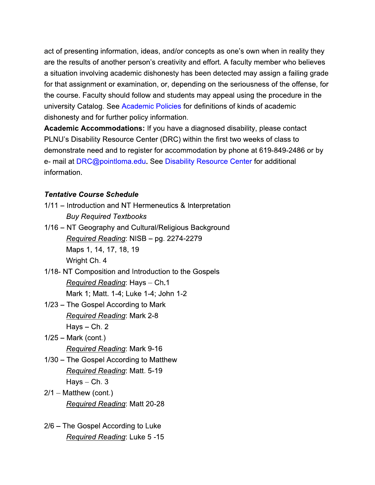act of presenting information, ideas, and/or concepts as one's own when in reality they are the results of another person's creativity and effort. A faculty member who believes a situation involving academic dishonesty has been detected may assign a failing grade for that assignment or examination, or, depending on the seriousness of the offense, for the course. Faculty should follow and students may appeal using the procedure in the university Catalog. See Academic Policies for definitions of kinds of academic dishonesty and for further policy information.

Academic Accommodations: If you have a diagnosed disability, please contact PLNU's Disability Resource Center (DRC) within the first two weeks of class to demonstrate need and to register for accommodation by phone at 619-849-2486 or by e- mail at DRC@pointloma.edu. See Disability Resource Center for additional information.

## **Tentative Course Schedule**

- 1/11 Introduction and NT Hermeneutics & Interpretation **Buy Required Textbooks**
- 1/16 NT Geography and Cultural/Religious Background Required Reading: NISB - pg. 2274-2279 Maps 1, 14, 17, 18, 19 Wright Ch. 4
- 1/18- NT Composition and Introduction to the Gospels Required Reading: Hays - Ch.1 Mark 1; Matt. 1-4; Luke 1-4; John 1-2
- 1/23 The Gospel According to Mark **Required Reading: Mark 2-8**  $Hays - Ch. 2$
- $1/25$  Mark (cont.) **Required Reading: Mark 9-16**
- 1/30 The Gospel According to Matthew Required Reading: Matt. 5-19  $Hays - Ch. 3$
- $2/1$  Matthew (cont.) Required Reading: Matt 20-28
- 2/6 The Gospel According to Luke Required Reading: Luke 5-15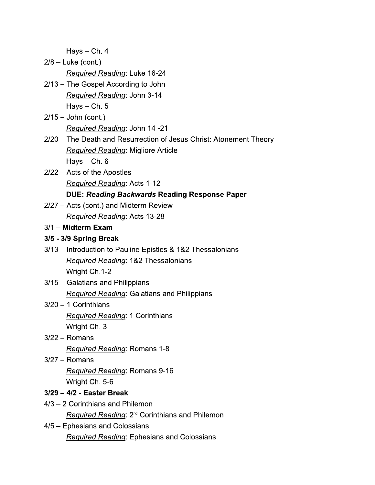$Hays - Ch. 4$ 

 $2/8$  – Luke (cont.)

**Required Reading: Luke 16-24** 

- 2/13 The Gospel According to John Required Reading: John 3-14  $Hays - Ch. 5$
- $2/15 -$  John (cont.) Required Reading: John 14 -21
- 2/20 The Death and Resurrection of Jesus Christ: Atonement Theory **Required Reading: Migliore Article** Hays  $-$  Ch.  $6$
- 2/22 Acts of the Apostles

**Required Reading: Acts 1-12** 

## **DUE: Reading Backwards Reading Response Paper**

2/27 - Acts (cont.) and Midterm Review Required Reading: Acts 13-28

#### $3/1$  – Midterm Exam

#### 3/5 - 3/9 Spring Break

- 3/13 Introduction to Pauline Epistles & 1&2 Thessalonians Required Reading: 1&2 Thessalonians Wright Ch.1-2
- 3/15 Galatians and Philippians Required Reading: Galatians and Philippians
- $3/20 1$  Corinthians **Required Reading: 1 Corinthians** Wright Ch. 3
- $3/22 -$ Romans Required Reading: Romans 1-8
- $3/27 -$ Romans Required Reading: Romans 9-16 Wright Ch. 5-6
- 3/29 4/2 Easter Break
- 4/3 2 Corinthians and Philemon

Required Reading: 2<sup>nd</sup> Corinthians and Philemon

4/5 - Ephesians and Colossians **Required Reading: Ephesians and Colossians**